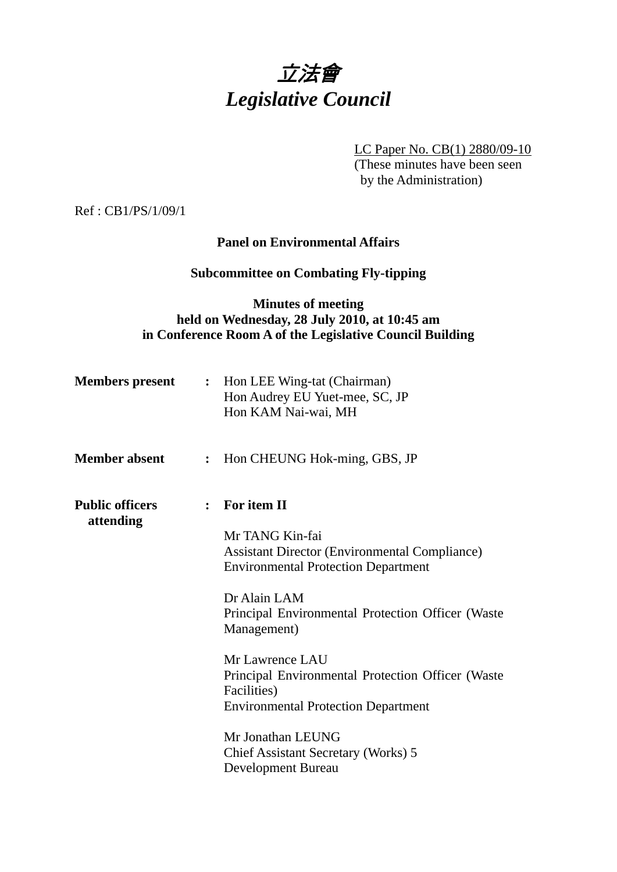

LC Paper No. CB(1) 2880/09-10

(These minutes have been seen by the Administration)

Ref : CB1/PS/1/09/1

## **Panel on Environmental Affairs**

## **Subcommittee on Combating Fly-tipping**

## **Minutes of meeting held on Wednesday, 28 July 2010, at 10:45 am in Conference Room A of the Legislative Council Building**

| <b>Members present</b>              |                | : Hon LEE Wing-tat (Chairman)<br>Hon Audrey EU Yuet-mee, SC, JP<br>Hon KAM Nai-wai, MH |
|-------------------------------------|----------------|----------------------------------------------------------------------------------------|
| <b>Member absent</b>                | $\ddot{\cdot}$ | Hon CHEUNG Hok-ming, GBS, JP                                                           |
| <b>Public officers</b><br>attending |                | $:$ For item II                                                                        |
|                                     |                | Mr TANG Kin-fai                                                                        |
|                                     |                | <b>Assistant Director (Environmental Compliance)</b>                                   |
|                                     |                | <b>Environmental Protection Department</b>                                             |
|                                     |                | Dr Alain LAM                                                                           |
|                                     |                | Principal Environmental Protection Officer (Waster<br>Management)                      |
|                                     |                | Mr Lawrence LAU                                                                        |
|                                     |                | Principal Environmental Protection Officer (Waster                                     |
|                                     |                | Facilities)                                                                            |
|                                     |                | <b>Environmental Protection Department</b>                                             |
|                                     |                | Mr Jonathan LEUNG                                                                      |
|                                     |                | Chief Assistant Secretary (Works) 5                                                    |
|                                     |                | Development Bureau                                                                     |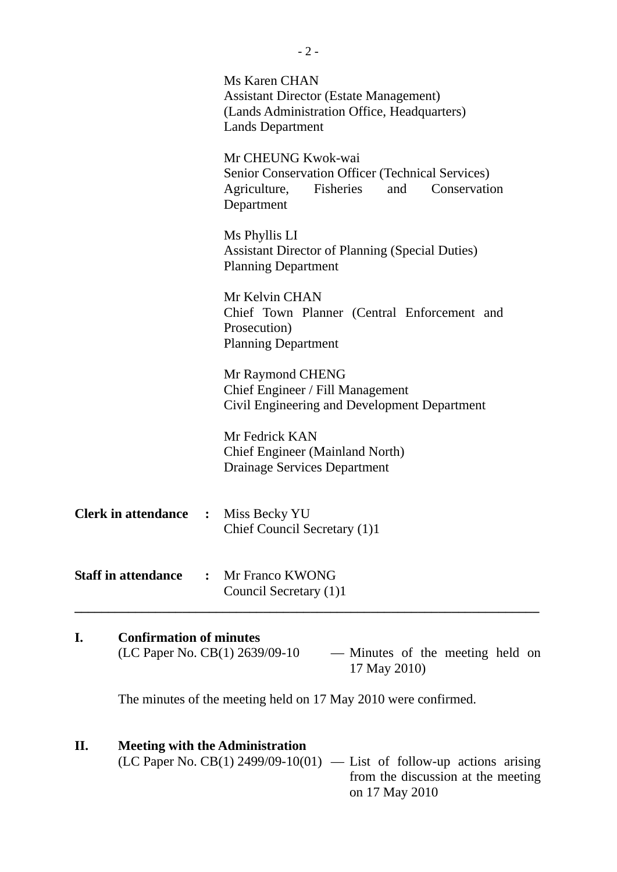| П.                                           |                                |                | The minutes of the meeting held on 17 May 2010 were confirmed.<br><b>Meeting with the Administration</b>                                 |
|----------------------------------------------|--------------------------------|----------------|------------------------------------------------------------------------------------------------------------------------------------------|
| I.                                           | <b>Confirmation of minutes</b> |                | (LC Paper No. CB(1) 2639/09-10<br>— Minutes of the meeting held on<br>17 May 2010)                                                       |
|                                              | <b>Staff in attendance</b>     | $\ddot{\cdot}$ | Mr Franco KWONG<br>Council Secretary (1)1                                                                                                |
| <b>Clerk in attendance</b><br>$\ddot{\cdot}$ |                                |                | Miss Becky YU<br>Chief Council Secretary (1)1                                                                                            |
|                                              |                                |                | Civil Engineering and Development Department<br>Mr Fedrick KAN<br><b>Chief Engineer (Mainland North)</b><br>Drainage Services Department |
|                                              |                                |                | Mr Raymond CHENG<br>Chief Engineer / Fill Management                                                                                     |
|                                              |                                |                | Mr Kelvin CHAN<br>Chief Town Planner (Central Enforcement and<br>Prosecution)<br><b>Planning Department</b>                              |
|                                              |                                |                | Ms Phyllis LI<br><b>Assistant Director of Planning (Special Duties)</b><br><b>Planning Department</b>                                    |
|                                              |                                |                | Mr CHEUNG Kwok-wai<br>Senior Conservation Officer (Technical Services)<br>Fisheries<br>and<br>Conservation<br>Agriculture,<br>Department |
|                                              |                                |                | Ms Karen CHAN<br><b>Assistant Director (Estate Management)</b><br>(Lands Administration Office, Headquarters)<br><b>Lands Department</b> |
|                                              |                                |                |                                                                                                                                          |

(LC Paper No. CB(1) 2499/09-10(01) — List of follow-up actions arising from the discussion at the meeting on 17 May 2010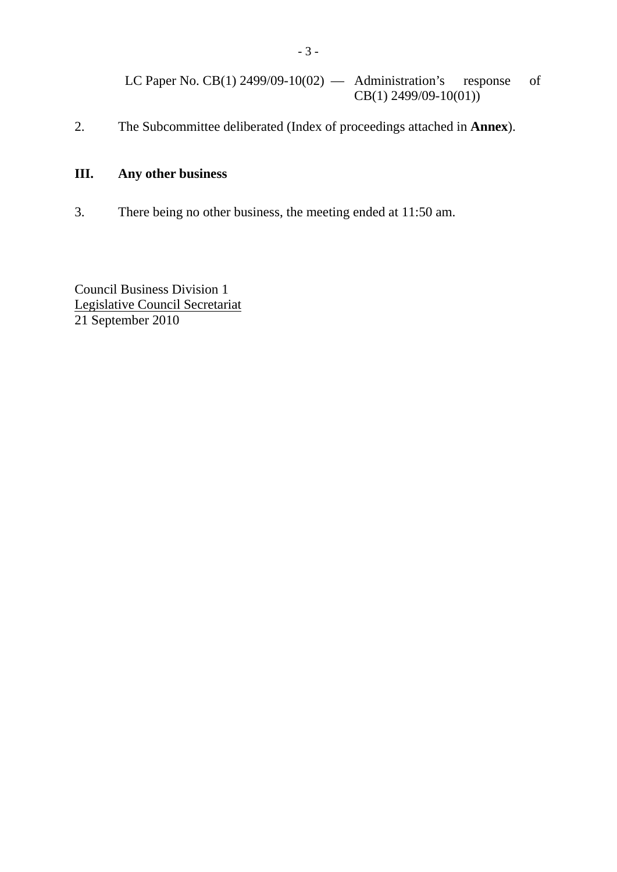LC Paper No. CB(1) 2499/09-10(02)  $-$  Administration's response of  $CB(1)$  2499/09-10(01))

2. The Subcommittee deliberated (Index of proceedings attached in **Annex**).

# **III. Any other business**

3. There being no other business, the meeting ended at 11:50 am.

Council Business Division 1 Legislative Council Secretariat 21 September 2010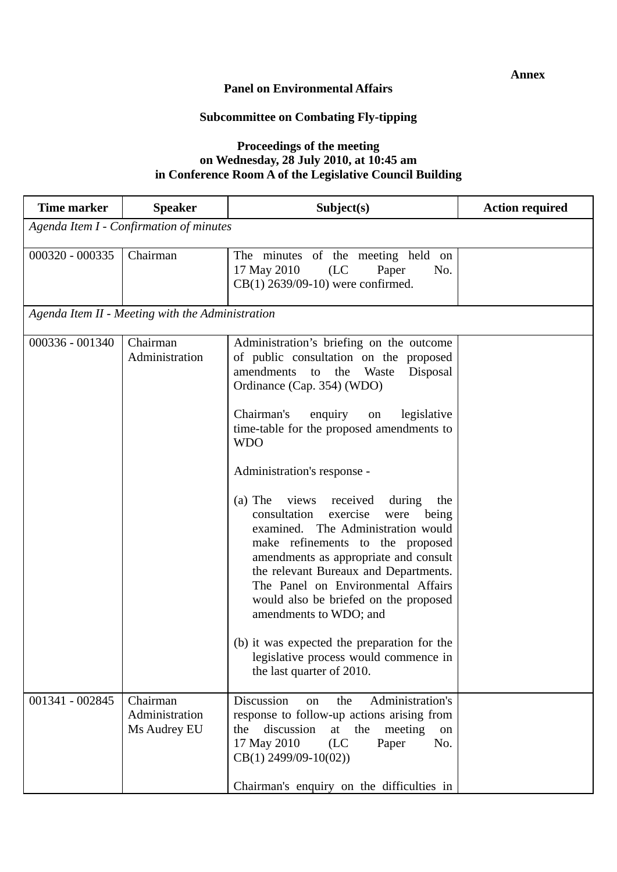#### **Panel on Environmental Affairs**

### **Subcommittee on Combating Fly-tipping**

### **Proceedings of the meeting on Wednesday, 28 July 2010, at 10:45 am in Conference Room A of the Legislative Council Building**

| <b>Time marker</b>                      | <b>Speaker</b>                                   | Subject(s)                                                                                                                                                                                                                                                                                                                                                                                                                                                                                                                                                                                                                                                                                                                                                                                      | <b>Action required</b> |  |  |
|-----------------------------------------|--------------------------------------------------|-------------------------------------------------------------------------------------------------------------------------------------------------------------------------------------------------------------------------------------------------------------------------------------------------------------------------------------------------------------------------------------------------------------------------------------------------------------------------------------------------------------------------------------------------------------------------------------------------------------------------------------------------------------------------------------------------------------------------------------------------------------------------------------------------|------------------------|--|--|
| Agenda Item I - Confirmation of minutes |                                                  |                                                                                                                                                                                                                                                                                                                                                                                                                                                                                                                                                                                                                                                                                                                                                                                                 |                        |  |  |
| 000320 - 000335                         | Chairman                                         | The minutes of the meeting held on<br>17 May 2010<br>(LC)<br>Paper<br>No.<br>$CB(1)$ 2639/09-10) were confirmed.                                                                                                                                                                                                                                                                                                                                                                                                                                                                                                                                                                                                                                                                                |                        |  |  |
|                                         | Agenda Item II - Meeting with the Administration |                                                                                                                                                                                                                                                                                                                                                                                                                                                                                                                                                                                                                                                                                                                                                                                                 |                        |  |  |
| 000336 - 001340                         | Chairman<br>Administration                       | Administration's briefing on the outcome<br>of public consultation on the proposed<br>amendments<br>Waste<br>the<br>Disposal<br>to<br>Ordinance (Cap. 354) (WDO)<br>Chairman's<br>enquiry<br>legislative<br>on<br>time-table for the proposed amendments to<br><b>WDO</b><br>Administration's response -<br>$(a)$ The<br>views received<br>during<br>the<br>consultation<br>exercise<br>were<br>being<br>examined. The Administration would<br>make refinements to the proposed<br>amendments as appropriate and consult<br>the relevant Bureaux and Departments.<br>The Panel on Environmental Affairs<br>would also be briefed on the proposed<br>amendments to WDO; and<br>(b) it was expected the preparation for the<br>legislative process would commence in<br>the last quarter of 2010. |                        |  |  |
| 001341 - 002845                         | Chairman<br>Administration<br>Ms Audrey EU       | Discussion<br>Administration's<br>the<br>on<br>response to follow-up actions arising from<br>the<br>discussion<br>at<br>the<br>meeting<br>on<br>17 May 2010<br>(LC)<br>Paper<br>No.<br>$CB(1)$ 2499/09-10(02))                                                                                                                                                                                                                                                                                                                                                                                                                                                                                                                                                                                  |                        |  |  |
|                                         |                                                  | Chairman's enquiry on the difficulties in                                                                                                                                                                                                                                                                                                                                                                                                                                                                                                                                                                                                                                                                                                                                                       |                        |  |  |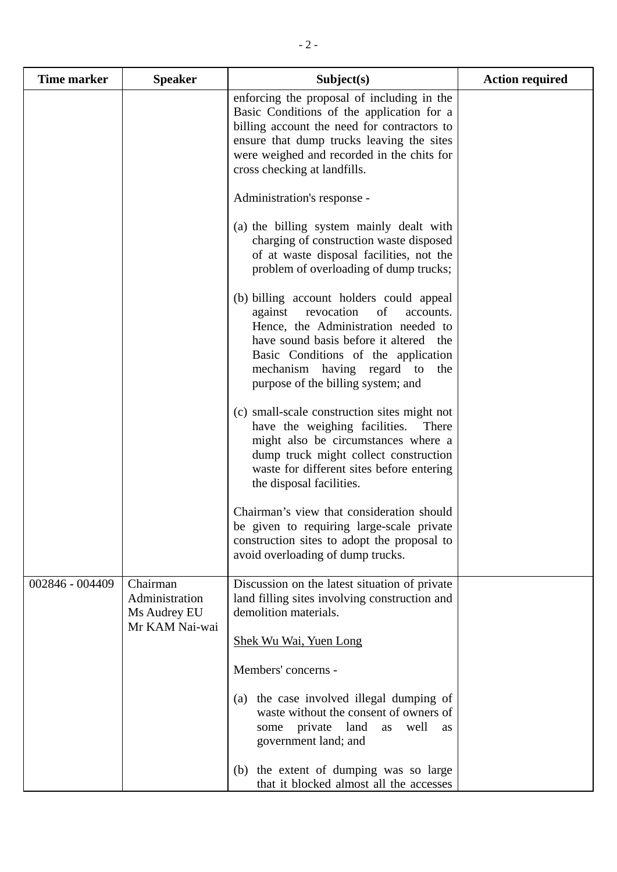| <b>Time marker</b> | <b>Speaker</b>                                               | Subject(s)                                                                                                                                                                                                                                                                              | <b>Action required</b> |
|--------------------|--------------------------------------------------------------|-----------------------------------------------------------------------------------------------------------------------------------------------------------------------------------------------------------------------------------------------------------------------------------------|------------------------|
|                    |                                                              | enforcing the proposal of including in the<br>Basic Conditions of the application for a<br>billing account the need for contractors to<br>ensure that dump trucks leaving the sites<br>were weighed and recorded in the chits for<br>cross checking at landfills.                       |                        |
|                    |                                                              | Administration's response -                                                                                                                                                                                                                                                             |                        |
|                    |                                                              | (a) the billing system mainly dealt with<br>charging of construction waste disposed<br>of at waste disposal facilities, not the<br>problem of overloading of dump trucks;                                                                                                               |                        |
|                    |                                                              | (b) billing account holders could appeal<br>revocation<br>against<br>of<br>accounts.<br>Hence, the Administration needed to<br>have sound basis before it altered the<br>Basic Conditions of the application<br>mechanism having regard to<br>the<br>purpose of the billing system; and |                        |
|                    |                                                              | (c) small-scale construction sites might not<br>have the weighing facilities.<br>There<br>might also be circumstances where a<br>dump truck might collect construction<br>waste for different sites before entering<br>the disposal facilities.                                         |                        |
|                    |                                                              | Chairman's view that consideration should<br>be given to requiring large-scale private<br>construction sites to adopt the proposal to<br>avoid overloading of dump trucks.                                                                                                              |                        |
| 002846 - 004409    | Chairman<br>Administration<br>Ms Audrey EU<br>Mr KAM Nai-wai | Discussion on the latest situation of private<br>land filling sites involving construction and<br>demolition materials.                                                                                                                                                                 |                        |
|                    |                                                              | <b>Shek Wu Wai, Yuen Long</b><br>Members' concerns -                                                                                                                                                                                                                                    |                        |
|                    |                                                              | (a) the case involved illegal dumping of<br>waste without the consent of owners of<br>some private land<br>well<br>as<br>as<br>government land; and                                                                                                                                     |                        |
|                    |                                                              | (b) the extent of dumping was so large<br>that it blocked almost all the accesses                                                                                                                                                                                                       |                        |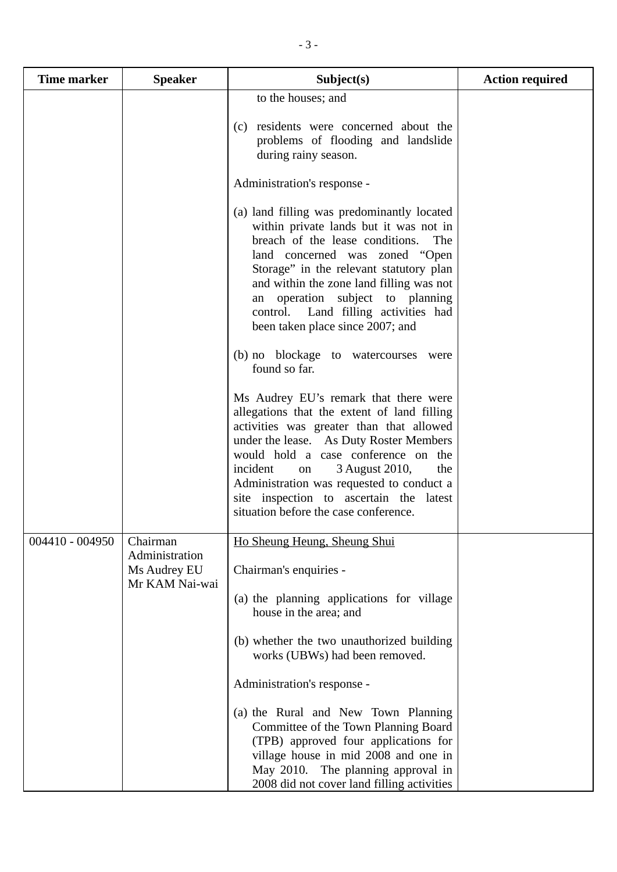| Time marker     | <b>Speaker</b>                                               | Subject(s)                                                                                                                                                                                                                                                                                                                                                                                                                                                                                        | <b>Action required</b> |
|-----------------|--------------------------------------------------------------|---------------------------------------------------------------------------------------------------------------------------------------------------------------------------------------------------------------------------------------------------------------------------------------------------------------------------------------------------------------------------------------------------------------------------------------------------------------------------------------------------|------------------------|
|                 |                                                              | to the houses; and<br>(c) residents were concerned about the<br>problems of flooding and landslide<br>during rainy season.                                                                                                                                                                                                                                                                                                                                                                        |                        |
|                 |                                                              | Administration's response -<br>(a) land filling was predominantly located<br>within private lands but it was not in<br>breach of the lease conditions.<br>The<br>land concerned was zoned "Open<br>Storage" in the relevant statutory plan<br>and within the zone land filling was not<br>operation subject to planning<br>an<br>control. Land filling activities had                                                                                                                             |                        |
|                 |                                                              | been taken place since 2007; and<br>(b) no blockage to watercourses were<br>found so far.<br>Ms Audrey EU's remark that there were<br>allegations that the extent of land filling<br>activities was greater than that allowed<br>under the lease. As Duty Roster Members<br>would hold a case conference on the<br>3 August 2010,<br>incident<br>the<br>on<br>Administration was requested to conduct a<br>site inspection to ascertain the latest<br>situation before the case conference.       |                        |
| 004410 - 004950 | Chairman<br>Administration<br>Ms Audrey EU<br>Mr KAM Nai-wai | Ho Sheung Heung, Sheung Shui<br>Chairman's enquiries -<br>(a) the planning applications for village<br>house in the area; and<br>(b) whether the two unauthorized building<br>works (UBWs) had been removed.<br>Administration's response -<br>(a) the Rural and New Town Planning<br>Committee of the Town Planning Board<br>(TPB) approved four applications for<br>village house in mid 2008 and one in<br>The planning approval in<br>May 2010.<br>2008 did not cover land filling activities |                        |